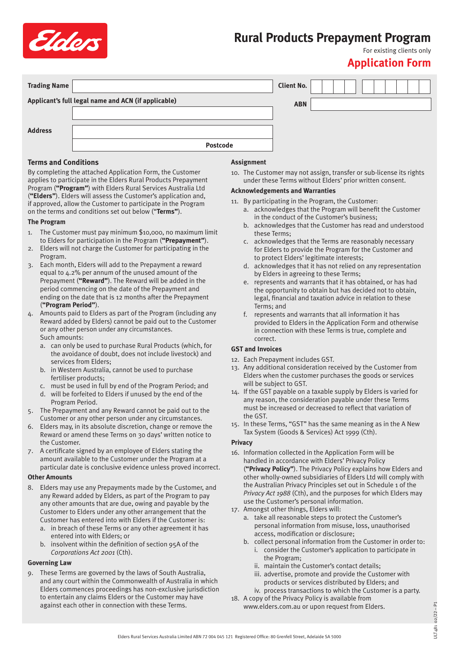

# **Rural Products Prepayment Program**

## For existing clients only

### **Application Form**

| <b>Trading Name</b> |                                                     | <b>Client No.</b> |  |  |
|---------------------|-----------------------------------------------------|-------------------|--|--|
|                     | Applicant's full legal name and ACN (if applicable) | <b>ABN</b>        |  |  |
|                     |                                                     |                   |  |  |
| <b>Address</b>      |                                                     |                   |  |  |
|                     | <b>Postcode</b>                                     |                   |  |  |

#### **Terms and Conditions**

By completing the attached Application Form, the Customer applies to participate in the Elders Rural Products Prepayment Program (**"Program"**) with Elders Rural Services Australia Ltd (**"Elders"**). Elders will assess the Customer's application and, if approved, allow the Customer to participate in the Program on the terms and conditions set out below ("**Terms"**).

#### **The Program**

- 1. The Customer must pay minimum \$10,000, no maximum limit to Elders for participation in the Program (**"Prepayment"**).
- 2. Elders will not charge the Customer for participating in the Program.
- 3. Each month, Elders will add to the Prepayment a reward equal to 4.2% per annum of the unused amount of the Prepayment (**"Reward"**). The Reward will be added in the period commencing on the date of the Prepayment and ending on the date that is 12 months after the Prepayment (**"Program Period"**).
- 4. Amounts paid to Elders as part of the Program (including any Reward added by Elders) cannot be paid out to the Customer or any other person under any circumstances. Such amounts:
	- a. can only be used to purchase Rural Products (which, for the avoidance of doubt, does not include livestock) and services from Elders;
	- b. in Western Australia, cannot be used to purchase fertiliser products;
	- c. must be used in full by end of the Program Period; and
	- d. will be forfeited to Elders if unused by the end of the Program Period.
- 5. The Prepayment and any Reward cannot be paid out to the Customer or any other person under any circumstances.
- 6. Elders may, in its absolute discretion, change or remove the Reward or amend these Terms on 30 days' written notice to the Customer.
- 7. A certificate signed by an employee of Elders stating the amount available to the Customer under the Program at a particular date is conclusive evidence unless proved incorrect.

#### **Other Amounts**

- 8. Elders may use any Prepayments made by the Customer, and any Reward added by Elders, as part of the Program to pay any other amounts that are due, owing and payable by the Customer to Elders under any other arrangement that the Customer has entered into with Elders if the Customer is:
	- a. in breach of these Terms or any other agreement it has entered into with Elders; or
	- b. insolvent within the definition of section 95A of the *Corporations Act 2001* (Cth).

#### **Governing Law**

9. These Terms are governed by the laws of South Australia, and any court within the Commonwealth of Australia in which Elders commences proceedings has non-exclusive jurisdiction to entertain any claims Elders or the Customer may have against each other in connection with these Terms.

#### **Assignment**

10. The Customer may not assign, transfer or sub-license its rights under these Terms without Elders' prior written consent.

#### **Acknowledgements and Warranties**

- 11. By participating in the Program, the Customer:
	- a. acknowledges that the Program will benefit the Customer in the conduct of the Customer's business;
		- b. acknowledges that the Customer has read and understood these Terms;
		- c. acknowledges that the Terms are reasonably necessary for Elders to provide the Program for the Customer and to protect Elders' legitimate interests;
		- d. acknowledges that it has not relied on any representation by Elders in agreeing to these Terms;
		- e. represents and warrants that it has obtained, or has had the opportunity to obtain but has decided not to obtain, legal, financial and taxation advice in relation to these Terms; and
		- f. represents and warrants that all information it has provided to Elders in the Application Form and otherwise in connection with these Terms is true, complete and correct.

#### **GST and Invoices**

- 12. Each Prepayment includes GST.
- 13. Any additional consideration received by the Customer from Elders when the customer purchases the goods or services will be subject to GST.
- 14. If the GST payable on a taxable supply by Elders is varied for any reason, the consideration payable under these Terms must be increased or decreased to reflect that variation of the GST.
- 15. In these Terms, "GST" has the same meaning as in the A New Tax System (Goods & Services) Act 1999 (Cth).

#### **Privacy**

- 16. Information collected in the Application Form will be handled in accordance with Elders' Privacy Policy (**"Privacy Policy"**). The Privacy Policy explains how Elders and other wholly-owned subsidiaries of Elders Ltd will comply with the Australian Privacy Principles set out in Schedule 1 of the *Privacy Act 1988* (Cth), and the purposes for which Elders may use the Customer's personal information.
- 17. Amongst other things, Elders will:
	- a. take all reasonable steps to protect the Customer's personal information from misuse, loss, unauthorised access, modification or disclosure;
	- b. collect personal information from the Customer in order to: i. consider the Customer's application to participate in the Program;
		- ii. maintain the Customer's contact details;
		- iii. advertise, promote and provide the Customer with products or services distributed by Elders; and
		- iv. process transactions to which the Customer is a party.
- 18. A copy of the Privacy Policy is available from www.elders.com.au or upon request from Elders.